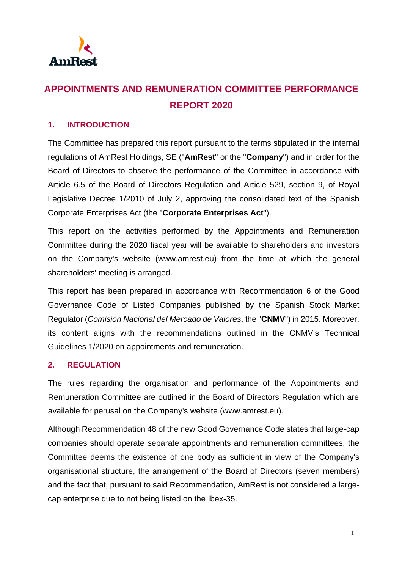

# **APPOINTMENTS AND REMUNERATION COMMITTEE PERFORMANCE REPORT 2020**

#### **1. INTRODUCTION**

The Committee has prepared this report pursuant to the terms stipulated in the internal regulations of AmRest Holdings, SE ("**AmRest**" or the "**Company**") and in order for the Board of Directors to observe the performance of the Committee in accordance with Article 6.5 of the Board of Directors Regulation and Article 529, section 9, of Royal Legislative Decree 1/2010 of July 2, approving the consolidated text of the Spanish Corporate Enterprises Act (the "**Corporate Enterprises Act**").

This report on the activities performed by the Appointments and Remuneration Committee during the 2020 fiscal year will be available to shareholders and investors on the Company's website (www.amrest.eu) from the time at which the general shareholders' meeting is arranged.

This report has been prepared in accordance with Recommendation 6 of the Good Governance Code of Listed Companies published by the Spanish Stock Market Regulator (*Comisión Nacional del Mercado de Valores*, the "**CNMV**") in 2015. Moreover, its content aligns with the recommendations outlined in the CNMV's Technical Guidelines 1/2020 on appointments and remuneration.

#### **2. REGULATION**

The rules regarding the organisation and performance of the Appointments and Remuneration Committee are outlined in the Board of Directors Regulation which are available for perusal on the Company's website [\(www.amrest.eu\)](http://www.amrest.eu/).

Although Recommendation 48 of the new Good Governance Code states that large-cap companies should operate separate appointments and remuneration committees, the Committee deems the existence of one body as sufficient in view of the Company's organisational structure, the arrangement of the Board of Directors (seven members) and the fact that, pursuant to said Recommendation, AmRest is not considered a largecap enterprise due to not being listed on the Ibex-35.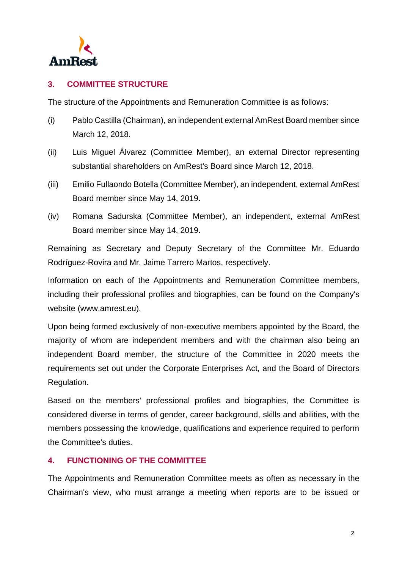

### **3. COMMITTEE STRUCTURE**

The structure of the Appointments and Remuneration Committee is as follows:

- (i) Pablo Castilla (Chairman), an independent external AmRest Board member since March 12, 2018.
- (ii) Luis Miguel Álvarez (Committee Member), an external Director representing substantial shareholders on AmRest's Board since March 12, 2018.
- (iii) Emilio Fullaondo Botella (Committee Member), an independent, external AmRest Board member since May 14, 2019.
- (iv) Romana Sadurska (Committee Member), an independent, external AmRest Board member since May 14, 2019.

Remaining as Secretary and Deputy Secretary of the Committee Mr. Eduardo Rodríguez-Rovira and Mr. Jaime Tarrero Martos, respectively.

Information on each of the Appointments and Remuneration Committee members, including their professional profiles and biographies, can be found on the Company's website (www.amrest.eu).

Upon being formed exclusively of non-executive members appointed by the Board, the majority of whom are independent members and with the chairman also being an independent Board member, the structure of the Committee in 2020 meets the requirements set out under the Corporate Enterprises Act, and the Board of Directors Regulation.

Based on the members' professional profiles and biographies, the Committee is considered diverse in terms of gender, career background, skills and abilities, with the members possessing the knowledge, qualifications and experience required to perform the Committee's duties.

#### **4. FUNCTIONING OF THE COMMITTEE**

The Appointments and Remuneration Committee meets as often as necessary in the Chairman's view, who must arrange a meeting when reports are to be issued or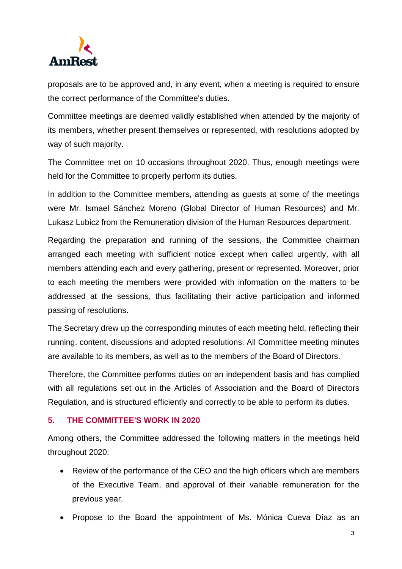

proposals are to be approved and, in any event, when a meeting is required to ensure the correct performance of the Committee's duties.

Committee meetings are deemed validly established when attended by the majority of its members, whether present themselves or represented, with resolutions adopted by way of such majority.

The Committee met on 10 occasions throughout 2020. Thus, enough meetings were held for the Committee to properly perform its duties.

In addition to the Committee members, attending as guests at some of the meetings were Mr. Ismael Sánchez Moreno (Global Director of Human Resources) and Mr. Lukasz Lubicz from the Remuneration division of the Human Resources department.

Regarding the preparation and running of the sessions, the Committee chairman arranged each meeting with sufficient notice except when called urgently, with all members attending each and every gathering, present or represented. Moreover, prior to each meeting the members were provided with information on the matters to be addressed at the sessions, thus facilitating their active participation and informed passing of resolutions.

The Secretary drew up the corresponding minutes of each meeting held, reflecting their running, content, discussions and adopted resolutions. All Committee meeting minutes are available to its members, as well as to the members of the Board of Directors.

Therefore, the Committee performs duties on an independent basis and has complied with all regulations set out in the Articles of Association and the Board of Directors Regulation, and is structured efficiently and correctly to be able to perform its duties.

#### **5. THE COMMITTEE'S WORK IN 2020**

Among others, the Committee addressed the following matters in the meetings held throughout 2020:

- Review of the performance of the CEO and the high officers which are members of the Executive Team, and approval of their variable remuneration for the previous year.
- Propose to the Board the appointment of Ms. Mónica Cueva Díaz as an